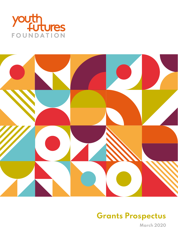



# **Grants Prospectus**

**March 2020**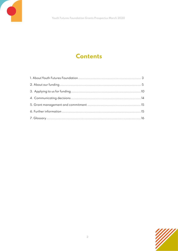## **Contents**

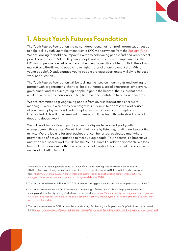

## **1. About Youth Futures Foundation**

The Youth Futures Foundation is a new, independent, not-for-profit organisation set up to help tackle youth unemployment, with a £90m endowment from the [Reclaim Fund.](https://www.reclaimfund.co.uk/) We are looking for bold and impactful ways to help young people find and keep decent jobs. There are over 760,000 young people not in education or employment in the UK1 . Young people are twice as likely to be unemployed than older adults in the labour market<sup>2</sup> and BAME young people have higher rates of unemployment than White young people3. Disadvantaged young people are disproportionately likely to be out of work or education4.

The Youth Futures Foundation will be tackling the issue on many fronts and looking to partner with organisations, charities, local authorities, social enterprises, employers, government and of course young people to get to the heart of the issues that have resulted in too many individuals failing to thrive and contribute fully to our economy.

We are committed to giving young people from diverse backgrounds access to meaningful work in which they can progress. Our aim is to address the root causes of youth unemployment and under employment, which are often complex and interrelated. This will take time and patience and it begins with understanding what does and doesn't work.

We will work in coalition to pull together the disparate knowledge of youth unemployment that exists. We will find what works by listening, funding and evaluating activity. We are looking for approaches that can be tested, evaluated and, where proven to be effective, expanded to more young people. Youth centric, collaborative and evidence-based work will define the Youth Futures Foundation approach. We look forward to working with others who seek to make radical changes that transform lives and lead to lasting impact.

- 2. The data is from the same February 2020 ONS release "Young people not in education, employment or training"
- 3. The data is from the October 2019 ONS release "Percentage of the economically active population who were unemployed, by ethnicity and age" which can be accessed here: [https://www.ethnicity-facts-figures.service.gov.uk/](https://www.ethnicity-facts-figures.service.gov.uk/work-pay-and-benefits/unemployment-and-economic-inactivity/unemployment/latest#by-ethnicity-and-age-white-and-other-than-white) [work-pay-and-benefits/unemployment-and-economic-inactivity/unemployment/latest#by-ethnicity-and-age-white](https://www.ethnicity-facts-figures.service.gov.uk/work-pay-and-benefits/unemployment-and-economic-inactivity/unemployment/latest#by-ethnicity-and-age-white-and-other-than-white)[and-other-than-white](https://www.ethnicity-facts-figures.service.gov.uk/work-pay-and-benefits/unemployment-and-economic-inactivity/unemployment/latest#by-ethnicity-and-age-white-and-other-than-white)
- 4. The data is from the April 2019 Impetus Research Briefing "Establishing the Employment Gap" which can be accessed here: [https://impetus.org.uk/assets/publications/Report/Youth-Jobs-Gap-Establising-the-Employment-Gap-report.pdf]( https://impetus.org.uk/assets/publications/Report/Youth-Jobs-Gap-Establising-the-Employment-Gap-report.pdf)



<sup>1.</sup> There are 763,000 young people aged 16-24 out of work and learning. The data is from the February 2020 ONS release "Young people not in education, employment or training (NEET)" which can be accessed here: [https://www.ons.gov.uk/employmentandlabourmarket/peoplenotinwork/unemployment/bulletins/](https://www.ons.gov.uk/employmentandlabourmarket/peoplenotinwork/unemployment/bulletins/youngpeoplenotineducationemploymentortrainingneet/february2020) [youngpeoplenotineducationemploymentortrainingneet/february2020](https://www.ons.gov.uk/employmentandlabourmarket/peoplenotinwork/unemployment/bulletins/youngpeoplenotineducationemploymentortrainingneet/february2020)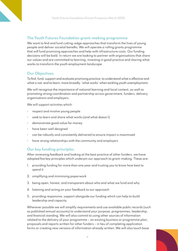### **The Youth Futures Foundation grant-making programme**

We want to find and fund cutting-edge approaches that transform the lives of young people and deliver societal benefits. We will operate a rolling grants programme that will fund promising approaches and help with infrastructure costs. Our funding decisions will be bold. In return we are looking to partner with organisations that share our values and are committed to learning, investing in good practice and sharing what works to transform the youth employment landscape.

#### **Our Objectives**

To find, fund, support and evaluate promising practice; to understand what is effective and what is not; and to learn, more broadly, 'what works' when tackling youth unemployment.

We will recognise the importance of national learning and local context, as well as promoting strong coordination and partnership across government, funders, delivery organisations and employers.

We will support activities which:

- respect and involve young people
- seek to learn and share what works (and what doesn't)
- demonstrate good value for money
- have been well designed
- can be robustly and consistently delivered to ensure impact is maximised
- have strong relationships with the community and employers

#### **Our key funding principles**

After reviewing feedback and looking at the best practice of other funders, we have adopted five key principles which underpin our approach to grant-making. These are:

- 1. providing funding for more than one year and trusting you to know how best to spend it
- 2. simplifying and minimising paperwork
- 3. being open, honest, and transparent about who and what we fund and why
- 4. listening and acting on your feedback to our approach
- 5. providing responsive, support alongside our funding which can help to build leadership and capacity

Wherever possible we will simplify requirements and use available public records (such as published annual accounts) to understand your purpose, programmes, leadership, and financial standing. We will also commit to using other sources of information related to the delivery of your programme – an existing business or programme plan, proposals and reports written for other funders – in lieu of completing application forms or creating new versions of information already written. We will also touch base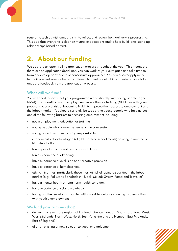regularly, such as with annual visits, to reflect and review how delivery is progressing. This is so that everyone is clear on mutual expectations and to help build long-standing relationships based on trust.

## **2. About our funding**

We operate an open, rolling application process throughout the year. This means that there are no application deadlines, you can work at your own pace and take time to form or develop partnership or consortium approaches. You can also reapply in the future if you feel you are better positioned to meet our eligibility criteria or have taken onboard feedback from the application process.

### **What will we fund?**

You will need to show that your programme works directly with young people (aged 14-24) who are either not in employment, education, or training (NEET), or with young people who are at risk of becoming NEET, to improve their access to employment and the labour market. You should currently be supporting young people who face at least one of the following barriers to accessing employment including:

- not in employment, education or training
- young people who have experience of the care system
- young parent, or have a caring responsibility
- economically disadvantaged (eligible for free school meals) or living in an area of high deprivation
- have special educational needs or disabilities
- have experience of offending
- have experience of exclusion or alternative provision
- have experience of homelessness
- ethnic minorities, particularly those most at risk of facing disparities in the labour market (e.g. Pakistani; Bangladeshi; Black; Mixed; Gypsy, Roma and Traveller).
- have a mental health or long-term health condition
- have experience of substance abuse
- facing another substantial barrier with an evidence base showing its association with youth unemployment

#### **We fund programmes that:**

- deliver in one or more regions of England (Greater London, South East, South West, West Midlands, North West, North East, Yorkshire and the Humber, East Midlands, East of England)
- offer an existing or new solution to youth unemployment

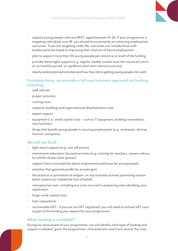- 
- support young people who are NEET, aged between 14-24. If your programme is targeting individuals over 18, you should focus primarily on achieving employment outcomes. If you are targeting under 18s, outcomes can include those wellevidenced to be linked to improving their chances of future employment
- plan to support more than 50 young people per annum as a result of the funding
- provide meaningful support (e.g. regular weekly contact over the course of a term or six monthly period, or significant short term intensive activity)
- clearly outline planned activities and how they link to getting young people into work

#### **Fundable items, we provide a full cost recovery approach to funding, including**

- staff salaries
- project activities
- running costs
- capacity-building and organisational developments costs
- expert support
- $\cdot$  equipment (i.e. small capital costs such as IT equipment, building renovations, new facilities)
- things that benefit young people in securing employment (e.g. workwear, driving licences, passports).

#### **We will not fund:**

- light-touch support (e.g. one-off events)
- mainstream education-focused activities (e.g. training for teachers, careers advice for whole classes/year groups)
- support that is not explicitly about employment pathways for young people
- activities that generate profits for private gain
- the practice or promotion of religion, or any activities actively promoting certain belief systems (or indeed the lack of belief).
- retrospective costs, including any costs incurred in preparing and submitting your application
- large-scale capital costs
- loan repayments
- recoverable VAT if you are not VAT registered, you will need to include VAT costs as part of the funding you request for your programme.

#### **What funding is available?**

During our assessment of your programme, we will identify what type of funding and support is needed, given the programme's characteristics and track record. You may

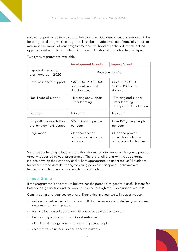receive support for up to five years. However, the initial agreement and support will be for one year, during which time you will also be provided with non-financial support to maximise the impact of your programme and likelihood of continued investment. All applicants will need to agree to an independent, external evaluation funded by us.

Two types of grants are available:

|                                                    | <b>Development Grants</b>                                | <b>Impact Grants</b>                                                        |
|----------------------------------------------------|----------------------------------------------------------|-----------------------------------------------------------------------------|
| Expected number of<br>grant awards in 2020         |                                                          | Between 20 - 40                                                             |
| Level of financial support                         | £30,000 - £100,000<br>pa for delivery and<br>development | Circa £100,000 -<br>£800,000 pa for<br>delivery                             |
| Non-financial support                              | • Training and support<br>· Peer learning                | • Training and support<br>$\cdot$ Peer learning<br>· Independent evaluation |
| Duration                                           | 1-2 years                                                | 1-5 years                                                                   |
| Supporting towards their<br>pre-employment journey | 50-150 young people<br>per year                          | Over 150 young people<br>per year                                           |
| Logic model                                        | Clear connection<br>between activities and<br>outcomes   | Clear and proven<br>connection between<br>activities and outcomes           |

We want our funding to lead to more than the immediate impact on the young people directly supported by your programmes. Therefore, all grants will include external input to develop their capacity and, where appropriate, to generate useful evidence for other stakeholders delivering for young people in this space – policymakers, funders, commissioners and research professionals.

### **Impact Grants**

If the programme is one that we believe has the potential to generate useful lessons for both your organisation and the wider audience through robust evaluation, we will:

Commission a one-year set-up phase. During this first year we will support you to:

- review and refine the design of your activity to ensure you can deliver your planned outcomes for young people
- test and learn in collaboration with young people and employers
- build strong partnerships with key stakeholders
- identify and engage your next cohort of young people
- recruit staff, volunteers, experts and consultants

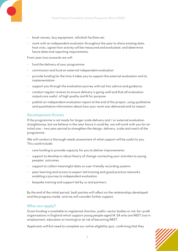- book venues, buy equipment, refurbish facilities etc
- work with an independent evaluator throughout the year to share existing data, host visits, agree how activity will be measured and evaluated, and determine future data and reporting requirements.

From year two onwards we will:

- fund the delivery of your programme
- commission and fund an external independent evaluation
- provide funding for the time it takes you to support the external evaluation and its implementation
- support you through the evaluation journey with ad-hoc advice and guidance
- conduct regular reviews to ensure delivery is going well and that all evaluation outputs are useful, of high quality and fit for purpose
- publish an independent evaluation report at the end of the project, using qualitative and quantitative information about how your work was delivered and its impact.

#### **Development Grants**

If the programme is not ready for larger scale delivery and / or external evaluation straightaway, but we believe in the near future it could be, we will work with you for an initial one – two year period to strengthen the design, delivery, scale and reach of the programme.

We will conduct a thorough needs assessment of what support will be useful to you. This could include:

- core funding to provide capacity for you to deliver improvements
- support to develop a robust theory of change connecting your activities to young peoples' outcomes
- support to collect meaningful data on user-friendly recording systems
- peer learning and access to expert-led training and good practice networks, enabling a journey to independent evaluation
- bespoke training and support led by us and partners.

By the end of the initial period, both parties will reflect on the relationships developed and the progress made, and we will consider further support.

#### **Who can apply?**

Grant funding is available to registered charities, public-sector bodies or not-for-profit organisations in England which support young people aged 14-24 who are NEET (not in employment, education or training) or at risk of becoming NEET.

Applicants will first need to complete our online eligibility quiz, confirming that they

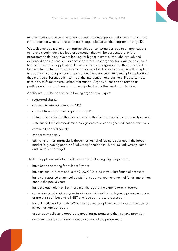

meet our criteria and supplying, on request, various supporting documents. For more information on what is required at each stage, please see the diagram on page 12.

We welcome applications from partnerships or consortia but require all applications to have a clearly identified lead organisation that will be accountable for the programme's delivery. We are looking for high quality, well thought through and evidenced applications. Our expectation is that most organisations will be positioned to develop one such application. However, for those organisations that are called on by multiple smaller organisations to support a collective application we will accept up to three applications per lead organisation. If you are submitting multiple applications, they must be different both in terms of the intervention and partners. Please contact us to discuss if you require further information. Organisations can be named as participants in consortiums or partnerships led by another lead organisation.

Applicants must be one of the following organisation types:

- registered charity
- community interest company (CIC)
- charitable incorporated organisation (CIO)
- statutory body (local authority, combined authority, town, parish, or community council)
- state-funded schools/academies, colleges/universities or higher-education institutions
- community benefit society
- cooperative society
- ethnic minorities, particularly those most at risk of facing disparities in the labour market (e.g. young people of Pakistani; Bangladeshi; Black; Mixed; Gypsy, Roma and Traveller heritage).

The lead applicant will also need to meet the following eligibility criteria:

- have been operating for at least 3 years
- have an annual turnover of over £100,000 listed in your last financial accounts
- have not reported an annual deficit (i.e. negative net movement of funds) more than once in the past 3 years
- have the equivalent of 3 or more months' operating expenditure in reserve
- can evidence at least a 3-year track record of working with young people who are, or are at risk of, becoming NEET and face barriers to progression
- have directly worked with 100 or more young people in the last year, as evidenced in your last annual report
- are already collecting good data about participants and their service provision
- are committed to an independent evaluation of the programme

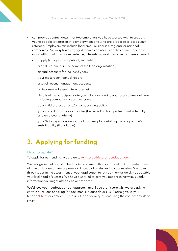- can provide contact details for two employers you have worked with to support young people towards or into employment and who are prepared to act as your referees. Employers can include local small businesses, regional or national companies. You may have engaged them as advisers, coaches or mentors, or to assist with training, work experience, internships, work placements or employment.
- can supply (if they are not publicly available):
	- · a bank statement in the name of the lead organisation
	- · annual accounts for the last 3 years
	- · your most recent annual report
	- a set of recent management accounts
	- an income and expenditure forecast
	- · details of the participant data you will collect during your programme delivery, including demographics and outcomes
	- · your child protection and/or safeguarding policy
	- · your current insurance certificates (i.e. including both professional indemnity and employer's liability)
	- · your 3- to 5-year organisational business plan detailing the programme's sustainability (if available).

## **3. Applying for funding**

#### **How to apply?**

To apply for our funding, please go to [www.youthfuturesfoundation.org](http://www.youthfuturesfoundation.org).

We recognise that applying for funding can mean that you spend an inordinate amount of time on funder-driven paperwork, instead of on delivering your mission. We have three stages in the assessment of your application to let you know as quickly as possible your likelihood of success. We have also tried to give you options in how you supply information you might already have prepared.

We'd love your feedback on our approach and if you aren't sure why we are asking certain questions or asking for documents, please do ask us. Please give us your feedback [here](https://wh.snapsurveys.com/s.asp?k=158325889404) or contact us with any feedback or questions using the contact details on page 15.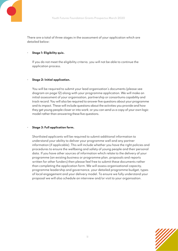

There are a total of three stages in the assessment of your application which are detailed below:

#### • **Stage 1: Eligibility quiz.**

 If you do not meet the eligibility criteria, you will not be able to continue the application process.

#### • **Stage 2: Initial application.**

You will be required to submit your lead organisation's documents (please see diagram on page 12) along with your programme application. We will make an initial assessment of your organisation, partnership or consortiums capability and track record. You will also be required to answer five questions about your programme and its impact. These will include questions about the activities you provide and how they get young people closer or into work; or you can send us a copy of your own logic model rather than answering these five questions.

#### • **Stage 3: Full application form.**

Shortlisted applicants will be required to submit additional information to understand your ability to deliver your programme well and any partner information (if applicable). This will include whether you have the right policies and procedures to ensure the wellbeing and safety of young people and their personal data. If you have other sources of information which relate to the delivery of your programme (an existing business or programme plan, proposals and reports written for other funders) then please feel free to submit these documents rather than completing the application form. We will assess organisational capacity, programme leadership and governance, your detailed programme budget, types of local engagement and your delivery model. To ensure we fully understand your proposal we will also schedule an interview and/or visit to your organisation.

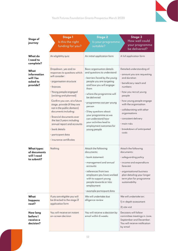

| Stage of<br>journey                                            | <b>Stage 1</b><br>Is this the right<br>funding for you?                                                                                                                                                                                                                                                                                                                                                                                                            | Stage 2<br>Is your programme<br>suitable?                                                                                                                                                                                                                                                                                                                                                             | <b>Stage 3</b><br>How well could<br>your programme<br>be delivered?                                                                                                                                                                                                                                                                                   |
|----------------------------------------------------------------|--------------------------------------------------------------------------------------------------------------------------------------------------------------------------------------------------------------------------------------------------------------------------------------------------------------------------------------------------------------------------------------------------------------------------------------------------------------------|-------------------------------------------------------------------------------------------------------------------------------------------------------------------------------------------------------------------------------------------------------------------------------------------------------------------------------------------------------------------------------------------------------|-------------------------------------------------------------------------------------------------------------------------------------------------------------------------------------------------------------------------------------------------------------------------------------------------------------------------------------------------------|
| What do<br>I need to<br>complete?                              | An eligibility quiz                                                                                                                                                                                                                                                                                                                                                                                                                                                | An initial application form                                                                                                                                                                                                                                                                                                                                                                           | A full application form                                                                                                                                                                                                                                                                                                                               |
| What<br>information<br>will I be<br>asked to<br>provide?       | Dropdown, yes and no<br>responses to questions which<br>will consider:<br>· organisation structure<br>$\cdot$ finances<br>· Young people engaged<br>(existing and planned)<br>Confirm you can, at a future<br>stage, provide (if they are<br>not in the public domain)<br>documents including:<br>· financial documents over<br>the last 3 years including<br>annual report and accounts<br>$\cdot$ bank details<br>· participant data<br>· insurance certificates | Basic organisation details<br>and questions to understand:<br>· barriers faced by the young<br>people you are targeting<br>and how you will engage<br>them<br>· where the programme will<br>be delivered<br>· programme cost per young<br>person<br>$\cdot$ 5 key questions about<br>your programme so we<br>can understand how<br>your activities lead to<br>employment outcomes for<br>young people | Detailed understanding of:<br>· amount you are requesting<br>and duration<br>· beneficiary reach and<br>numbers<br>$\cdot$ how you recruit young<br>people<br>· how young people engage<br>with the organisation<br>· collaborating with other<br>organisations<br>· consistent delivery<br>$\cdot$ main risks<br>· breakdown of anticipated<br>costs |
| <b>What types</b><br>of documents<br>will I need<br>to submit? | Nothing                                                                                                                                                                                                                                                                                                                                                                                                                                                            | Attach the following<br>documents:<br>$\cdot$ bank statement<br>· management and annual<br>accounts<br>$\cdot$ references from two<br>employers you have worked<br>with to support young<br>people towards or into<br>employment<br>· example participant data                                                                                                                                        | Attach the following<br>documents:<br>· safeguarding policy<br>· income and expenditure<br>forecast<br>· organisational business<br>plan detailing your longer<br>term plan for programme<br>sustainability                                                                                                                                           |
| What<br>happens<br>next?                                       | If you are eligible you will<br>be directed to the stage 2<br>application form                                                                                                                                                                                                                                                                                                                                                                                     | We will undertake due<br>diligence review                                                                                                                                                                                                                                                                                                                                                             | We will undertake an:<br>I) in-depth assessment<br>2) site visit                                                                                                                                                                                                                                                                                      |
| How long<br>before I<br>receive a<br>decision?                 | You will receive an instant<br>on-screen decision                                                                                                                                                                                                                                                                                                                                                                                                                  | You will receive a decision by<br>email within 6 weeks                                                                                                                                                                                                                                                                                                                                                | Decisions will follow<br>committee meetings in June,<br>September and December.<br>You will receive notification<br>by email                                                                                                                                                                                                                          |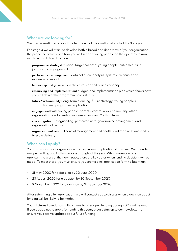### **What are we looking for?**

We are requesting a proportionate amount of information at each of the 3 stages.

For stage 3 we will want to develop both a broad and deep view of your organisation, the proposed activity and how you will support young people on their journey towards or into work. This will include:

- **programme strategy:** mission, target cohort of young people, outcomes, client journey and engagement
- **performance management:** data collation, analysis, systems, measures and evidence of impact
- **leadership and governance:** structure, capability and capacity
- **resourcing and implementation:** budget, and implementation plan which shows how you will deliver the programme consistently
- **future/sustainability:** long-term planning, future strategy, young people's satisfaction and programme replication
- **engagement:** with young people, parents, carers, wider community, other organisations and stakeholders, employers and Youth Futures
- **risk mitigation:** safeguarding, perceived risks, governance arrangement and organisational culture
- **organisational health:** financial management and health, and readiness and ability to scale delivery.

### **When can I apply?**

You can register your organisation and begin your application at any time. We operate an open, rolling application process throughout the year. Whilst we encourage applicants to work at their own pace, there are key dates when funding decisions will be made. To meet these, you must ensure you submit a full application form no later than:

- 31 May 2020 for a decision by 30 June 2020
- 23 August 2020 for a decision by 30 September 2020
- 9 November 2020 for a decision by 31 December 2020.

After submitting a full application, we will contact you to discuss when a decision about funding will be likely to be made.

Youth Futures Foundation will continue to offer open funding during 2021 and beyond. If you decide not to apply for funding this year, please sign up to our newsletter to ensure you receive updates about future funding.

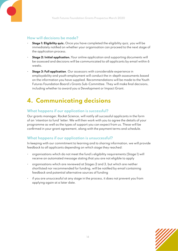

### **How will decisions be made?**

- **Stage 1: Eligibility quiz.** Once you have completed the eligibility quiz, you will be immediately notified on whether your organisation can proceed to the next stage of the application process.
- **Stage 2: Initial application.** Your online application and supporting documents will be assessed and decisions will be communicated to all applicants by email within 6 weeks.
- **Stage 3: Full application**. Our assessors with considerable experience in employability and youth employment will conduct the in-depth assessments based on the information you have supplied. Recommendations will be made to the Youth Futures Foundation Board's Grants Sub-Committee. They will make final decisions, including whether to award you a Development or Impact Grant.

# **4. Communicating decisions**

### **What happens if our application is successful?**

Our grants manager, Rocket Science, will notify all successful applicants in the form of an 'intention to fund' letter. We will then work with you to agree the details of your programme as well as the types of support you can expect from us. These will be confirmed in your grant agreement, along with the payment terms and schedule.

### **What happens if our application is unsuccessful?**

In keeping with our commitment to learning and to sharing information, we will provide feedback to all applicants depending on which stage they reached:

- organisations which do not meet the fund's eligibility requirements (Stage 1) will receive an automated message stating that you are not eligible to apply
- organisations which are reviewed at Stages 2 and 3, but which are neither shortlisted nor recommended for funding, will be notified by email containing feedback and potential alternative sources of funding
- if you are unsuccessful at any stage in the process, it does not prevent you from applying again at a later date.

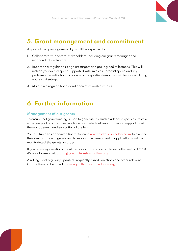

### **5. Grant management and commitment**

As part of the grant agreement you will be expected to:

- 1. Collaborate with several stakeholders, including our grants manager and independent evaluators.
- 2. Report on a regular basis against targets and pre-agreed milestones. This will include your actual spend supported with invoices, forecast spend and key performance indicators. Guidance and reporting templates will be shared during your grant set-up.
- 3. Maintain a regular, honest and open relationship with us.

# **6. Further information**

#### **Management of our grants**

To ensure that grant funding is used to generate as much evidence as possible from a wide range of programmes, we have appointed delivery partners to support us with the management and evaluation of the fund.

Youth Futures has appointed Rocket Science [www.rocketsciencelab.co.uk](http://www.rocketsciencelab.co.uk) to oversee the administration of grants and to support the assessment of applications and the monitoring of the grants awarded.

If you have any questions about the application process, please call us on 020 7553 4539 or by email at: [grants@youthfuturesfoundation.org](mailto:grants%40youthfuturesfoundation.org?subject=).

A rolling list of regularly updated Frequently Asked Questions and other relevant information can be found at [www.youthfuturesfoundation.org](http://www.youthfuturesfoundation.org).

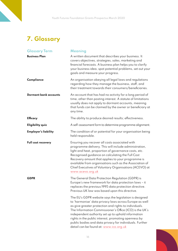# **7. Glossary**

| <b>Glossary Term</b>         | <b>Meaning</b>                                                                                                                                                                                                                                                                                                                                                                                                                                          |
|------------------------------|---------------------------------------------------------------------------------------------------------------------------------------------------------------------------------------------------------------------------------------------------------------------------------------------------------------------------------------------------------------------------------------------------------------------------------------------------------|
| <b>Business Plan</b>         | A written document that describes your business. It<br>covers objectives, strategies, sales, marketing and<br>financial forecasts. A business plan helps you to clarify<br>your business idea, spot potential problems, set out your<br>goals and measure your progress.                                                                                                                                                                                |
| Compliance                   | An organisation obeying all legal laws and regulations<br>regarding how they manage the business, staff, and<br>their treatment towards their consumers/beneficiaries.                                                                                                                                                                                                                                                                                  |
| <b>Dormant bank accounts</b> | An account that has had no activity for a long period of<br>time, other than posting interest. A statute of limitations<br>usually does not apply to dormant accounts, meaning<br>that funds can be claimed by the owner or beneficiary at<br>any time.                                                                                                                                                                                                 |
| <b>Efficacy</b>              | The ability to produce desired results; effectiveness.                                                                                                                                                                                                                                                                                                                                                                                                  |
| <b>Eligibility quiz</b>      | A self-assessment form to determine programme alignment.                                                                                                                                                                                                                                                                                                                                                                                                |
| <b>Employer's liability</b>  | The condition of or potential for your organisation being<br>held responsible.                                                                                                                                                                                                                                                                                                                                                                          |
| Full cost recovery           | Ensuring you recover all costs associated with<br>programme delivery. This will include administration,<br>light and heat, proportion of governance costs, etc.<br>Recognised guidance on calculating the Full Cost<br>Recovery amount that applies to your programme is<br>available from organisations such as the Association of<br>Chief Executives of Voluntary Organisations (ACEVO) at<br>www.acevo.org.uk                                       |
| <b>GDPR</b>                  | The General Data Protection Regulation (GDPR) is<br>Europe's new framework for data protection laws - it<br>replaces the previous 1995 data protection directive.<br>Previous UK law was based upon this directive.                                                                                                                                                                                                                                     |
|                              | The EU's GDPR website says the legislation is designed<br>to 'harmonise' data privacy laws across Europe as well<br>as give greater protection and rights to individuals.<br>The Information Commissioner's Office (ICO) is the UK's<br>independent authority set up to uphold information<br>rights in the public interest, promoting openness by<br>public bodies and data privacy for individuals. Further<br>detail can be found at: www.ico.org.uk |

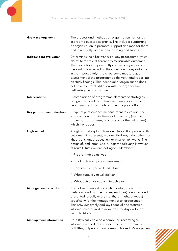| <b>Grant management</b>       | The process and methods an organisation harnesses<br>in order to oversee its grants. This includes supporting<br>an organisation to promote, support and monitor them<br>and, eventually, assess their learning and success.                                                                                                                                                                                                                                                                  |
|-------------------------------|-----------------------------------------------------------------------------------------------------------------------------------------------------------------------------------------------------------------------------------------------------------------------------------------------------------------------------------------------------------------------------------------------------------------------------------------------------------------------------------------------|
| Independent evaluation        | Determines the effectiveness of any programme which<br>claims to make a difference to measurable outcomes.<br>The evaluator independently conducts key aspects of<br>the evaluation, including the collection of any data used<br>in the impact analysis (e.g. outcome measures), an<br>assessment of the programme's delivery, and reporting<br>on study findings. This individual or organisation does<br>not have a current affiliation with the organisation<br>delivering the programme. |
| Interventions                 | A combination of programme elements or strategies<br>designed to produce behaviour change or improve<br>health among individuals or an entire population.                                                                                                                                                                                                                                                                                                                                     |
| Key performance indicators    | A type of performance measurement to evaluate the<br>success of an organisation or of an activity (such as<br>projects, programmes, products and other initiatives) in<br>which it engages.                                                                                                                                                                                                                                                                                                   |
| Logic model                   | A logic model explains how an intervention produces its<br>outcomes. It represents, in a simplified way, a hypothesis or<br>'theory of change' about how an intervention works. The<br>design of, and terms used in, logic models vary. However,<br>at Youth Futures we are looking to understand:                                                                                                                                                                                            |
|                               | 1. Programme objectives                                                                                                                                                                                                                                                                                                                                                                                                                                                                       |
|                               | 2. The inputs your programme needs                                                                                                                                                                                                                                                                                                                                                                                                                                                            |
|                               | 3. The activities you will undertake                                                                                                                                                                                                                                                                                                                                                                                                                                                          |
|                               | 4. What outputs you will deliver                                                                                                                                                                                                                                                                                                                                                                                                                                                              |
|                               | 5. What outcomes you aim to achieve                                                                                                                                                                                                                                                                                                                                                                                                                                                           |
| <b>Management accounts</b>    | A set of summarised accounting data (balance sheet,<br>cash flow, and income and expenditure) prepared and<br>presented (usually every month, fortnight, or week)<br>specifically for the management of an organisation.<br>This provides timely and key financial and statistical<br>information required to make day-to-day and short-<br>term decisions.                                                                                                                                   |
| <b>Management information</b> | Data (typically held on a computer) recording all<br>information needed to understand a programme's<br>activities, outputs and outcomes achieved. Management                                                                                                                                                                                                                                                                                                                                  |

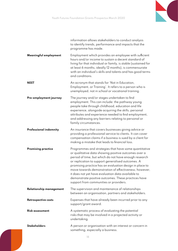

|                            | information allows stakeholders to conduct analysis<br>to identify trends, performance and impacts that the<br>programme has made.                                                                                                                                                                                                                                                                                                                                                                    |
|----------------------------|-------------------------------------------------------------------------------------------------------------------------------------------------------------------------------------------------------------------------------------------------------------------------------------------------------------------------------------------------------------------------------------------------------------------------------------------------------------------------------------------------------|
| Meaningful employment      | Employment which provides an employee with sufficient<br>hours and/or income to sustain a decent standard of<br>living for that individual or family, is stable (sustained for<br>at least 6 months, ideally 12 months), is commensurate<br>with an individual's skills and talents and has good terms<br>and conditions.                                                                                                                                                                             |
| NEET                       | An acronym that stands for 'Not in Education,<br>Employment, or Training'. It refers to a person who is<br>unemployed, not in school or vocational training.                                                                                                                                                                                                                                                                                                                                          |
| Pre-employment journey     | The journey and/or stages undertaken to find<br>employment. This can include: the pathway young<br>people take through childhood, education and life<br>experience, alongside acquiring the skills, personal<br>attributes and experience needed to find employment,<br>and addressing any barriers relating to personal or<br>family circumstances.                                                                                                                                                  |
| Professional indemnity     | An insurance that covers businesses giving advice or<br>providing a professional service to clients. It can cover<br>compensation claims if a business is sued by a client for<br>making a mistake that leads to financial loss.                                                                                                                                                                                                                                                                      |
| <b>Promising practice</b>  | Programmes and strategies that have some quantitative<br>or qualitative data showing positive outcomes over a<br>period of time, but which do not have enough research<br>or replication to support generalised outcomes. A<br>promising practice has an evaluation design in place to<br>move towards demonstration of effectiveness; however,<br>it does not yet have evaluation data available to<br>demonstrate positive outcomes. These practices have<br>support from communities or providers. |
| Relationship management    | The supervision and maintenance of relationships<br>between an organisation, partners and stakeholders.                                                                                                                                                                                                                                                                                                                                                                                               |
| <b>Retrospective costs</b> | Expenses that have already been incurred prior to any<br>support/grant award.                                                                                                                                                                                                                                                                                                                                                                                                                         |
| <b>Risk assessment</b>     | A systematic process of evaluating the potential<br>risks that may be involved in a projected activity or<br>undertaking.                                                                                                                                                                                                                                                                                                                                                                             |
| <b>Stakeholders</b>        | A person or organisation with an interest or concern in<br>something, especially a business.                                                                                                                                                                                                                                                                                                                                                                                                          |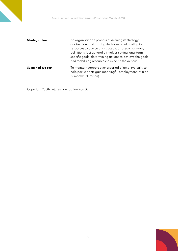| Strategic plan           | An organisation's process of defining its strategy,                                                           |
|--------------------------|---------------------------------------------------------------------------------------------------------------|
|                          | or direction, and making decisions on allocating its                                                          |
|                          | resources to pursue this strategy. Strategy has many                                                          |
|                          | definitions, but generally involves setting long-term                                                         |
|                          | specific goals, determining actions to achieve the goals,<br>and mobilising resources to execute the actions. |
| <b>Sustained support</b> | To maintain support over a period of time, typically to                                                       |
|                          | help participants gain meaningful employment (of 6 or                                                         |
|                          | 12 months' duration).                                                                                         |

Copyright Youth Futures Foundation 2020.